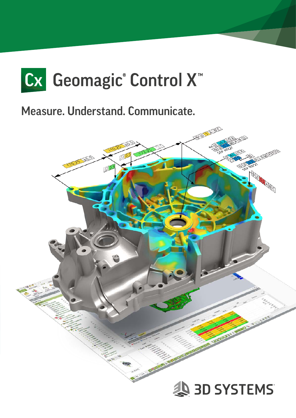

Measure. Understand. Communicate.

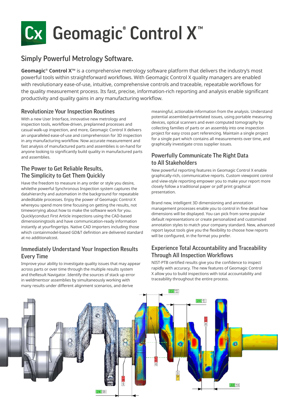# Cx Geomagic® Control X<sup>™</sup>

### Simply Powerful Metrology Software.

**Geomagic® Control X™** is a comprehensive metrology software platform that delivers the industry's most powerful tools within straightforward workflows. With Geomagic Control X quality managers are enabled with revolutionary ease-of-use, intuitive, comprehensive controls and traceable, repeatable workflows for the quality measurement process. Its fast, precise, information-rich reporting and analysis enable significant productivity and quality gains in any manufacturing workflow.

#### Revolutionize Your Inspection Routines

With a new User Interface, innovative new metrology and inspection tools, workflow-driven, preplanned processes and casual walk-up inspection, and more, Geomagic Control X delivers an unparalleled ease-of-use and comprehension for 3D inspection in any manufacturing workflow. Now accurate measurement and fast analysis of manufactured parts and assemblies is on-hand for anyone looking to significantly build quality in manufactured parts and assemblies.

#### The Power to Get Reliable Results, The Simplicity to Get Them Quickly

Have the freedom to measure in any order or style you desire, whilethe powerful Synchronous Inspection system captures the datahierarchy and automation in the background for repeatable andeditable processes. Enjoy the power of Geomagic Control X whereyou spend more time focusing on getting the results, not timeworrying about how to make the software work for you. Quicklyconduct First Article inspections using the CAD-based dimensioningtools and have communication-ready information instantly at yourfingertips. Native CAD importers including those which containmodel-based GD&T definition are delivered standard at no additionalcost.

#### Immediately Understand Your Inspection Results Every Time

Improve your ability to investigate quality issues that may appear across parts or over time through the multiple results system and theResult Navigator. Identify the sources of stack up error in weldmentsor assemblies by simultaneously working with many results under different alignment scenarios, and derive

meaningful, actionable information from the analysis. Understand potential assembled partrelated issues, using portable measuring devices, optical scanners and even computed tomography by collecting families of parts or an assembly into one inspection project for easy cross part referencing. Maintain a single project for a single part which contains all measurements over time, and graphically investigate cross supplier issues.

#### Powerfully Communicate The Right Data to All Stakeholders

New powerful reporting features in Geomagic Control X enable graphically-rich, communicative reports. Custom viewpoint control and view-style reporting empower you to make your report more closely follow a traditional paper or pdf print graphical presentation.

Brand new, intelligent 3D dimensioning and annotation management processes enable you to control in fine detail how dimensions will be displayed. You can pick from some popular default representations or create personalized and customized annotation styles to match your company standard. New, advanced report layout tools give you the flexibility to choose how reports will be configured, in the format you prefer.

#### Experience Total Accountability and Traceability Through All Inspection Workflows

NIST-PTB certified results give you the confidence to inspect rapidly with accuracy. The new features of Geomagic Control X allow you to build inspections with total accountability and traceability throughout the entire process.

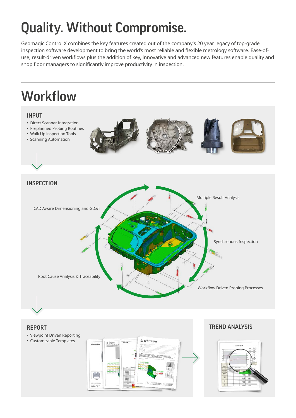## Quality. Without Compromise.

Geomagic Control X combines the key features created out of the company's 20 year legacy of top-grade inspection software development to bring the world's most reliable and flexible metrology software. Ease-ofuse, result-driven workflows plus the addition of key, innovative and advanced new features enable quality and shop floor managers to significantly improve productivity in inspection.

### **Workflow**





• Viewpoint Driven Reporting • Customizable Templates